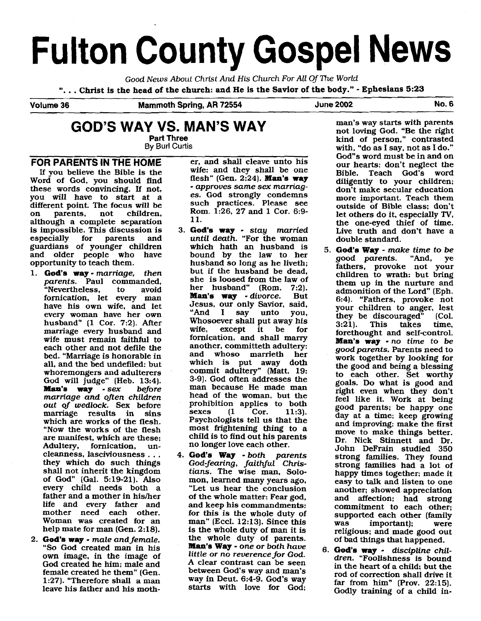# **Fulton County Gospel News**

Good News About Christ And His Church For ALL Of **The** World

". . . Christ is the head of the church: and He is the Savior of the body." - Ephesians **5:23** 

**Volume 36 Mammoth Spring, AR 72554 June 2002 No. 6** 

## **GOD'S WAY VS. MAN'S WAY**

**Part Three By Burl Curtis** 

### **FOR PARENTS IN THE HOME**

If you believe the Bible is the Word of God, you should find these words convincing. If not, you will have to start at a different point. The focus will be<br>on parents. not children. on parents, not children, although a complete separation is impossible. This discussion is especially for parents giadians of younger children and older people who have opportunity to teach them.

- 1. God's **way**  marriage, then parents. Paul commanded,<br>"Nevertheless. to avoid "Nevertheless, fornication, let every man have his own wife, and let every woman have her own husband" (1 Cor. 7:2). After marriage every husband and wife must remain faithful to each other and not defile the bed. "Marriage is honorable in all, and the bed undefiled: but whoremongers and adulterers God will judge" (Heb. 13:4). **Man's way** -sex before marriage and often children out of wedlock. Sex before marriage results in sins which are works of the flesh. "Now the works of the flesh are manifest, which are these; Adultery, fornication, uncleanness, lasciviousness . . . they which do such things shall not inherit the kingdom of God" (Gal. 5:19-21). Also every child needs both a father and a mother in his/her life and every father and mother need each other. Woman was created for an help mate for man (Gen. 2:18).
- 2. God's **way**  male and female. "So God created man in his own image, in the image of God created he him; male and female created he them" [Gen. 1:27). "Therefore shall a man leave his father and his moth-

er, and shall cleave unto his wife: and they shall be one flesh" (Gen. 2:24). Man's **way**  - approves same sex marriages. God strongly condemns such practices. Please see Rom. 1:26. 27 and 1 Cor. 6:9- 11.

- 3. God's **way**  stay married until death. "For the woman which hath an husband is bound by the law to her husband so long as he liveth; but if the husband be dead, she is loosed from the law of her husband" (Rom. 7:2).<br>**Man's way -** divorce. But **Man's way - divorce.** Jesus, our only Savior, said,<br>"And I say unto vou. say unto you, Whosoever shall put away his<br>wife, except it be for except fornication, and shall marry another, committeth adultery:<br>and whoso marrieth her and whoso marrieth which is put away doth commit adultery" (Matt. 19: 3-9). God often addresses the man because He made man head of the woman, but the prohibition applies to both<br>sexes (1 Cor. 11:3).  $s$ exes  $(1 \quad \text{Cor.} \quad 11:3).$ Psychologists tell us that the most frightening thing to a child is to find out his parents no longer love each other.
- 4. God's **Way**  both parents God-fearing, faithful Christians. The wise man, Solomon, learned many years ago, **"Let** us hear the conclusion of the whole matter: Fear god, and keep his commandments: for this is the whole duty of man" (Eccl. 12:13). Since this is the whole duty of man it is the whole duty of parents. Man's **Way** - one or both have Little or no reverence for God. A clear contrast can be seen between God's way and man's way in Deut. 6:4-9. God's way starts with love for God;

man's way starts with parents not loving God. "Be the right kind of person," contrasted with, "do as I say, not as I do." God"s word must be in and on our hearts; don't neglect the Bible. Teach God's word diligently to your children; don't make secular education more important. Teach them outside of Bible class; don't let others do it, especially **TV,**  the one-eyed thief of time. Live truth and don't have a double standard.

- God's **Way**  make time to be good parents. fathers, provoke not your children to wrath: but bring them up in the nurture and admonition of the Lord" (Eph. 6:4). "Fathers, provoke not your children to anger, lest<br>they be discouraged" (Col. they be discouraged" (Col.<br>3:21). This takes time, takes forethought and self-control. Man's **way** -no time to be good parents. Parents need to work together by looking for the good and being a blessing to each other. Set worthy goals. Do what is good and right even when they don't feel like it. Work at being good parents; be happy one day at a time; keep growing and improving: make the first move to make things better. Dr. Nick Stinnett and Dr. John DeFrain studied 350 strong families. They found strong families had a lot of happy times together; made it easy to talk and listen to one another; showed appreciation and affection; had strong commitment to each other; supported each other (family<br>was important): were important); were religious; and made good out of bad things that happened.
- God's **way**  discipline chil- dren. "Foolishness is bound in the heart of a child; but the rod of correction shall drive it far from him" [Prov. 22:15). Godly training of a child in-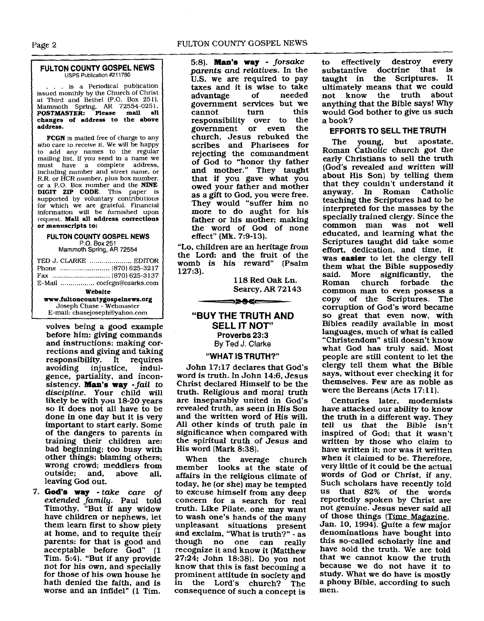#### **FULTON COUNTY GOSPEL NEWS USPS** Publication **#211780**

... is a Periodical publication issued monthly hy the Church of Christ at Third and Bethel (P.O. Box 251), Mammoth Spring, **AR** 72554-0251. POSTMASTER: **Please mall all changes of address to the above address.** 

**FCGN** is mailed free of charge to any who care to receive it. We will be happy to add any names to the regular mailing list. If you send in a name we<br>must have a complete address. must have a complete address,<br>including number and street name, or R.R. or HCR number, plus box number, or a P.O. Box number and the **NINE DIGIT ZIP CODE.** This paper is supported by voluntary contributions for which we are grateful. Financial informatlo11 will be furnished upon request. **Mail all address corrections or manuscripts to:** 

#### **FULTON COUNTY GOSPEL NEWS**  P.O. **Box** 251

Mammoth Spring, AR 72554

| Website                        |  |  |  |  |
|--------------------------------|--|--|--|--|
|                                |  |  |  |  |
| www.fultoncountygospelnews.org |  |  |  |  |
| Joseph Chase - Webmaster       |  |  |  |  |
| E-mail: chasejoseph@yahoo.com  |  |  |  |  |

volves being a good example before him: giving commands and instructions: making corrections and giving and taking responsibility. It requires<br>avoiding injustice, indulinjustice, gence, partiality, and inconsistency. **Man's way** -fail to discipline. Your child will likely be with you 18-20 years so it does not all have to be done in one day but it is very important to start early. Some of the dangers to parents in training their children are: bad beginning; too busy with other things; blaming others; wrong crowd; meddlers from<br>outside; and, above all. outside; and, above all, leaving God out.

7. **God's way** -take care of extended family. Paul told Timothy, "But if any widow have children or nephews, let them learn first to show piety at home, and to requite their parents: for that is good and acceptable before God" (1 Tim. 5:4). "But if any provide for those of his own house he hath denied the faith, and is worse and an infidel" (1 Tim.

5:8). **Man's way** - forsake parents and relatives. In the **U.S.** we are required to pay taxes and it is wise to take advantage government services but we cannot turn this<br>responsibility over to the responsibility over to the<br>government or even the government or even church. Jesus rebuked the scribes and Pharisees for rejecting the commandment of God to "honor thy father and mother." They taught that if you gave what you owed your father and mother as a gift to God, you were free. They would "suffer him no more to do aught for his father or his mother; making the word of God of none effect" (Mk. 7:9-13).

"Lo. children are an heritage from the Lord: and the fruit of the womb is his reward" (Psalm 127:3).

> 118 Red Oak Ln. Searcy, **AR** 72143

#### **"BUY THE TRUTH AND SELL IT NOT" Proverbs 23:3 By Ted** J. **Clarke**

∍⋑ੳ⋐⊂

#### **"WHAT IS TRUTH?"**

John 17:17 declares that God's word is truth. In John 14:6, Jesus Christ declared Himself to be the truth. Religious and moral truth are inseparably united in God's revealed truth, as seen in His Son and the written word of His will. All other kinds of truth pale in significance when compared with the spiritual truth of Jesus and His word (Mark 8:38).

When the average church<br>member looks at the state of looks at the state of affairs in the religious climate of today, he (or she) may be tempted to excuse himself from any deep concern for a search for real truth. Like Pilate, one may want to wash one's hands of the many unpleasant situations present and exclaim, "What is truth?" - as though no one can really recognize it and know it (Matthew 27:24; John 18:38). Do you not know that this is fast becoming a prominent attitude in society and<br>in the Lord's church? The the Lord's church? The consequence of such a concept is

to effectively destroy every substantive doctrine that is taught in the Scriptures. It ultimately means that we could<br>not know the truth about not know the anything that the Bible says! Why would God bother to give us such a book?

#### **EFFORTS TO SELL THE TRUTH**

The young, but apostate, Roman Catholic church got the early Christians to sell the truth (God's revealed and written will about His Son) by telling them that they couldn't understand it<br>anyway. In Roman Catholic In Roman Catholic teaching the Scriptures had to be interpreted for the masses by the specially trained clergy. Since the common man was not well educated, and learning what the Scriptures taught did take some effort, dedication, and time, it was **easier** to let the clergy tell them what the Bible supposedly<br>said. More significantly, the said. More significantly, the church common man to even possess a copy of the Scriptures. The corruption of God's word became so great that even now, with Bibles readily available in most languages, much of what is called "Christendom" still doesn't know what God has truly said. Most people are still content to let the clergy tell them what the Bible says, without ever checking it for themselves. Few are as noble as were the Bereans (Acts 17:11).

Centuries later, modernists have attacked our ability to know the truth in a different way. They tell us that the Bible isn't inspired of God; that it wasn't written by those who claim to have written it; nor was it written when it claimed to be. Therefore, very little of it could be the actual words of God or Christ, if any. Such scholars have recently told us that 82% of the words reportedly spoken by Christ are not genuine. Jesus never said all of those things (Time Magazine, Jan. 10, 1994). Quite a few major denominations have bought into this so-called scholarly line and have sold the truth. We are told that we cannot know the truth because we do not have it to study. What we do have is mostly a phony Bible, according to such men.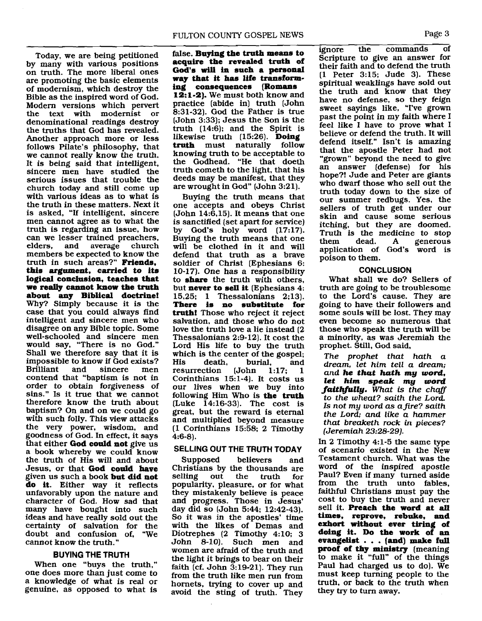Today, we are being petitioned by many with various positions on truth. The more liberal ones are promoting the basic elements of modernism, which destroy the Bible as the inspired word of God. Modem versions which pervert the text with modernist or denominational readings destroy the truths that God has revealed. Another approach more or less follows Pilate's philosophy, that we cannot really know the truth. It is being said that intelligent, sincere men have studied the serious issues that trouble the church today and still come up with various ideas as to what is the truth in these matters. Next it is asked, "If intelligent, sincere men cannot agree as to what the truth is regarding an issue, how can we lesser trained preachers,<br>elders. and average church average members be expected to know the truth in such areas?" **Friends. this argument, carried to its logical conclusion, teaches that we really cannot know the truth about any Biblical doctrine!**  Why? Simply because it is the case that you could always find intelligent and sincere men who disagree on any Bible topic. Some well-schooled and sincere men would say, "There is no God." Shall we therefore say that it is impossible to know if God exists?<br>Brilliant and sincere men Brilliant and sincere men contend that "baptism is not in order to obtain forgiveness of sins." Is it true that we cannot therefore know the truth about baptism? On and on we could go with such folly. This view attacks the very power, wisdom, and goodness of God. In effect, it says that either **God could not** give us a book whereby we could know the truth of His will and about Jesus, or that **God could have**  given us such a book **but did not do it.** Either way it reflects unfavorably upon the nature and character of God. How sad that many have bought into such ideas and have really sold out the certainty of salvation for the doubt and confusion of, "We cannot know the truth."

#### **BUYING THE TRUTH**

When one "buys the truth," one does more than just come to a knowledge of what is real or genuine, as opposed to what is

false. **Buying the truth means to acquire the revealed truth of God's will in such a personal way that it has life transforming consequences (Romans 12: 1-2).** We must both know and practice (abide in) truth (John 8:31-32). God the Father is true (John 3:33); Jesus the Son is the truth (14:6); and the Spirit is likewise truth [15:26). **Doing truth** must naturally knowing truth to be acceptable to the Godhead. "He that doeth truth cometh to the light, that his deeds may be manifest, that they are wrought in God" (John 3:21).

Buying the truth means that one accepts and obeys Christ (John 14:6,15). It means that one is sanctified (set apart for senrice) by God's holy word (17:17). Buying the truth means that one will be clothed in it and will defend that truth as a brave soldier of Christ (Ephesians 6: 10-17). One has a responsibility to **share** the truth with others, but **never to sell it** (Ephesians 4: 15.25; 1 Thessalonians 2;13). **There is no substitute for truth!** Those who reject it reject salvation, and those who do not love the truth love a lie instead (2 Thessalonians 2:9-12). It cost the Lord His life to buy the truth which is the center of the gospel;<br>His death, burial, and burial, and<br>(John  $1:17:1$ resurrection Corinthians 15:l-4). It costs us our lives when we buy into following Him Who is **the truth**  (Luke 14:16-33). The cost is great, but the reward is eternal and multiplied beyond measure (1 Corinthians 15:58; 2 Timothy 4:6-8).

#### **SELLING OUT THE TRUTH TODAY**

Supposed believers and Christians by the thousands are selling out the truth for popularity, pleasure, or for what they mistakenly believe is peace and progress. Those in Jesus' day did so [John 5:44; 12:42-43). So it was in the apostles' time with the likes of Demas and Diotrephes (2 Timothy 4:lO; 3 John 8-10). Such men and women are afraid of the truth and the light it brings to bear on their faith  $[cf. John 3:19-21]$ . They run from the truth like men run from hornets, trying to cover up and avoid the sting of truth. They ignore the commands of Scripture to give an answer for their faith and to defend the truth (1 Peter 3:15; Jude 3). These spiritual weaklings have sold out the truth and know that they have no defense, so they feign sweet sayings like, "I've grown past the point in my faith where I feel like I have to prove what I believe or defend the truth. It will defend itself." Isn't is amazing that the apostle Peter had not "grown" beyond the need to give an answer (defense) for his hope?! Jude and Peter are giants who dwarf those who sell out the truth today down to the size of our summer redbugs. Yes, the sellers of truth get under our skin and cause some serious itching, but they are doomed. Truth is the medicine to stop<br>them dead. A generous generous application of God's word is poison to them.

#### **CONCLUSION**

What shall we do? Sellers of truth are going to be troublesome to the Lord's cause. They are going to have their followers and some souls will be lost. They may even become so numerous that those who speak the truth will be a minority, as was Jeremiah the prophet. Still, God said,

The prophet that hath a dream, let him tell a dream; and he *that hath my word, Let him* **speak** *my word*  **faithfully.** What is the chaff to the wheat? saith the Lord. Is not my word **as** a fire? saith the Lord. and Like a hammer that breaketh rock in pieces? (Jeremiah **23:28-29).** 

In 2 Timothy 4:l-5 the same type of scenario existed in the New Testament church. What was the word of the inspired apostle Paul? Even if many turned aside from the truth unto fables, faithful Christians must pay the cost to buy the truth and never sell it. **Preach the word at all times, reprove, rebuke, and exhort without ever tiring of doing it. Do the work of an evangelist** . . . **(and) make full proof of thy ministry** (meaning to make it "full" of the things Paul had charged us to do). We must keep turning people to the truth, or back to the truth when they **try** to turn away.